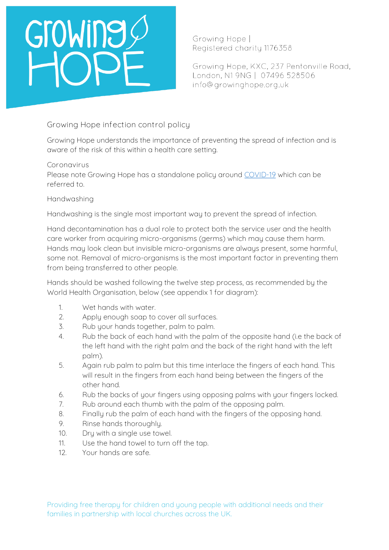## Growing

Growing Hope I Registered charity 1176358

Growing Hope, KXC, 237 Pentonville Road. London, N1 9NG | 07496 528506 info@growinghope.org.uk

**Growing Hope infection control policy**

Growing Hope understands the importance of preventing the spread of infection and is aware of the risk of this within a health care setting.

### **Coronavirus**

Please note Growing Hope has a standalone policy around [COVID-19](http://www.growinghope.org.uk/policy) which can be referred to.

### **Handwashing**

Handwashing is the single most important way to prevent the spread of infection.

Hand decontamination has a dual role to protect both the service user and the health care worker from acquiring micro-organisms (germs) which may cause them harm. Hands may look clean but invisible micro-organisms are always present, some harmful, some not. Removal of micro-organisms is the most important factor in preventing them from being transferred to other people.

Hands should be washed following the twelve step process, as recommended by the World Health Organisation, below (see appendix 1 for diagram):

- 1. Wet hands with water.
- 2. Apply enough soap to cover all surfaces.
- 3. Rub your hands together, palm to palm.
- 4. Rub the back of each hand with the palm of the opposite hand (i.e the back of the left hand with the right palm and the back of the right hand with the left palm).
- 5. Again rub palm to palm but this time interlace the fingers of each hand. This will result in the fingers from each hand being between the fingers of the other hand.
- 6. Rub the backs of your fingers using opposing palms with your fingers locked.
- 7. Rub around each thumb with the palm of the opposing palm.
- 8. Finally rub the palm of each hand with the fingers of the opposing hand.
- 9. Rinse hands thoroughly.
- 10. Dry with a single use towel.
- 11. Use the hand towel to turn off the tap.
- 12. Your hands are safe.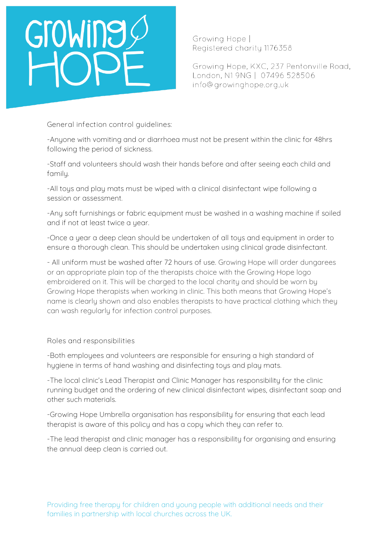### Growine

Growing Hope I Registered charity 1176358

Growing Hope, KXC, 237 Pentonville Road, London, N1 9NG | 07496 528506 info@growinghope.org.uk

**General infection control guidelines:**

-Anyone with vomiting and or diarrhoea must not be present within the clinic for 48hrs following the period of sickness.

-Staff and volunteers should wash their hands before and after seeing each child and family.

-All toys and play mats must be wiped with a clinical disinfectant wipe following a session or assessment.

-Any soft furnishings or fabric equipment must be washed in a washing machine if soiled and if not at least twice a year.

-Once a year a deep clean should be undertaken of all toys and equipment in order to ensure a thorough clean. This should be undertaken using clinical grade disinfectant.

- All uniform must be washed after 72 hours of use. Growing Hope will order dungarees or an appropriate plain top of the therapists choice with the Growing Hope logo embroidered on it. This will be charged to the local charity and should be worn by Growing Hope therapists when working in clinic. This both means that Growing Hope's name is clearly shown and also enables therapists to have practical clothing which they can wash regularly for infection control purposes.

**Roles and responsibilities**

-Both employees and volunteers are responsible for ensuring a high standard of hygiene in terms of hand washing and disinfecting toys and play mats.

-The local clinic's Lead Therapist and Clinic Manager has responsibility for the clinic running budget and the ordering of new clinical disinfectant wipes, disinfectant soap and other such materials.

-Growing Hope Umbrella organisation has responsibility for ensuring that each lead therapist is aware of this policy and has a copy which they can refer to.

-The lead therapist and clinic manager has a responsibility for organising and ensuring the annual deep clean is carried out.

Providing free therapy for children and young people with additional needs and their families in partnership with local churches across the UK.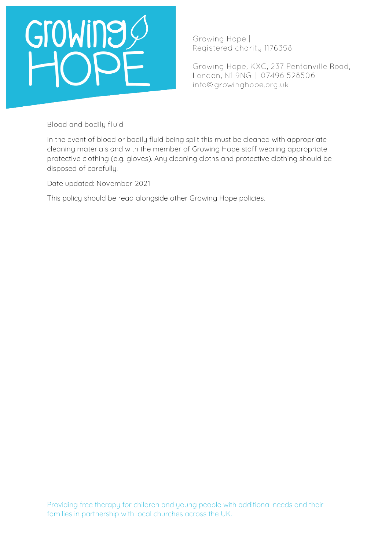

Growing Hope | Registered charity 1176358

Growing Hope, KXC, 237 Pentonville Road, London, N1 9NG | 07496 528506 info@growinghope.org.uk

**Blood and bodily fluid**

In the event of blood or bodily fluid being spilt this must be cleaned with appropriate cleaning materials and with the member of Growing Hope staff wearing appropriate protective clothing (e.g. gloves). Any cleaning cloths and protective clothing should be disposed of carefully.

Date updated: **November 2021**

This policy should be read alongside other Growing Hope policies.